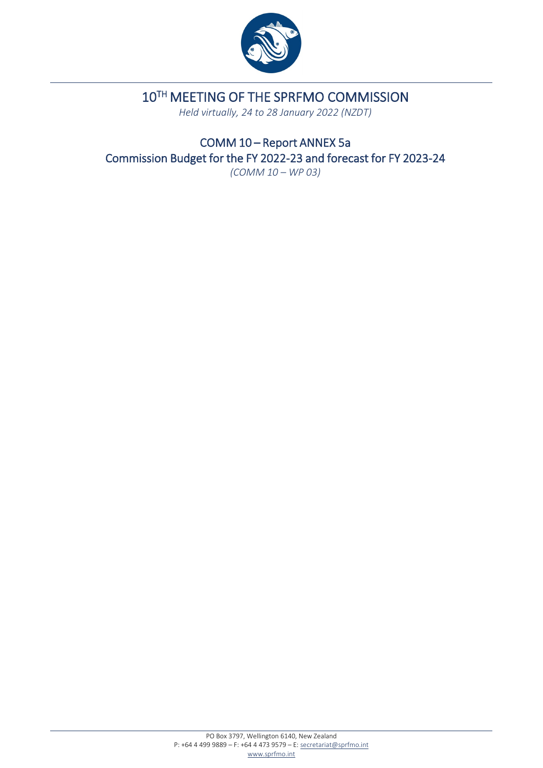

## 10TH MEETING OF THE SPRFMO COMMISSION

*Held virtually, 24 to 28 January 2022 (NZDT)* 

COMM 10 – Report ANNEX 5a Commission Budget for the FY 2022-23 and forecast for FY 2023-24 *(COMM 10 – WP 03)*